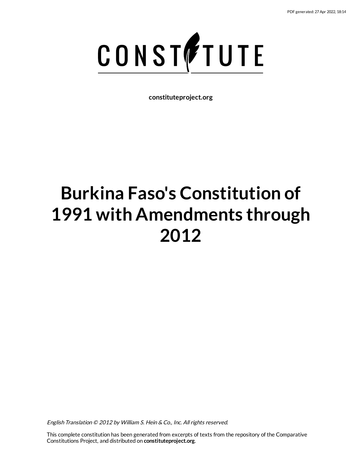

**constituteproject.org**

# **Burkina Faso's Constitution of 1991 with Amendments through 2012**

English Translation © 2012 by William S. Hein & Co., Inc. All rights reserved.

This complete constitution has been generated from excerpts of texts from the repository of the Comparative Constitutions Project, and distributed on **constituteproject.org**.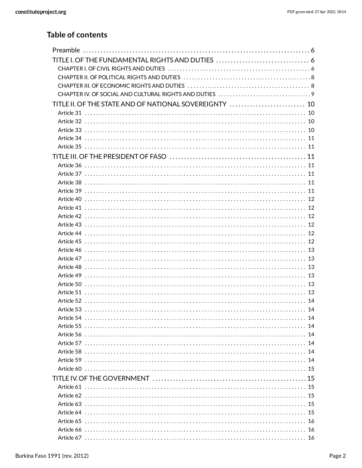## **Table of contents**

| TITLE II. OF THE STATE AND OF NATIONAL SOVEREIGNTY  10 |  |
|--------------------------------------------------------|--|
|                                                        |  |
|                                                        |  |
|                                                        |  |
|                                                        |  |
|                                                        |  |
|                                                        |  |
|                                                        |  |
|                                                        |  |
|                                                        |  |
|                                                        |  |
|                                                        |  |
|                                                        |  |
|                                                        |  |
|                                                        |  |
|                                                        |  |
|                                                        |  |
|                                                        |  |
|                                                        |  |
|                                                        |  |
|                                                        |  |
|                                                        |  |
|                                                        |  |
|                                                        |  |
|                                                        |  |
|                                                        |  |
|                                                        |  |
| Article 56 …………………………………………………………………………………… 14         |  |
|                                                        |  |
|                                                        |  |
|                                                        |  |
|                                                        |  |
|                                                        |  |
|                                                        |  |
|                                                        |  |
|                                                        |  |
|                                                        |  |
|                                                        |  |
|                                                        |  |
|                                                        |  |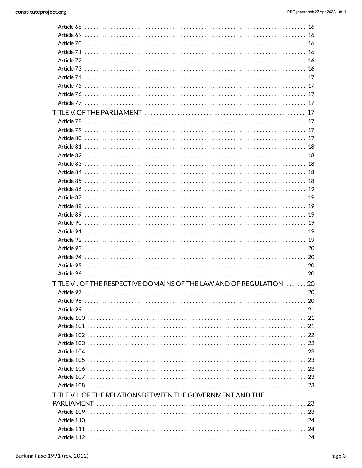| Article 78 …………………………………………………………………………………… 17                      |  |
|---------------------------------------------------------------------|--|
|                                                                     |  |
| Article 80 ……………………………………………………………………………………… 17                     |  |
| Article 81 …………………………………………………………………………………… 18                      |  |
|                                                                     |  |
| Article 83 ……………………………………………………………………………………… 18                     |  |
|                                                                     |  |
|                                                                     |  |
|                                                                     |  |
|                                                                     |  |
|                                                                     |  |
|                                                                     |  |
|                                                                     |  |
|                                                                     |  |
|                                                                     |  |
|                                                                     |  |
|                                                                     |  |
|                                                                     |  |
|                                                                     |  |
|                                                                     |  |
| TITLE VI. OF THE RESPECTIVE DOMAINS OF THE LAW AND OF REGULATION 20 |  |
|                                                                     |  |
|                                                                     |  |
|                                                                     |  |
|                                                                     |  |
|                                                                     |  |
|                                                                     |  |
|                                                                     |  |
|                                                                     |  |
|                                                                     |  |
|                                                                     |  |
|                                                                     |  |
|                                                                     |  |
| TITLE VII. OF THE RELATIONS BETWEEN THE GOVERNMENT AND THE          |  |
|                                                                     |  |
|                                                                     |  |
|                                                                     |  |
|                                                                     |  |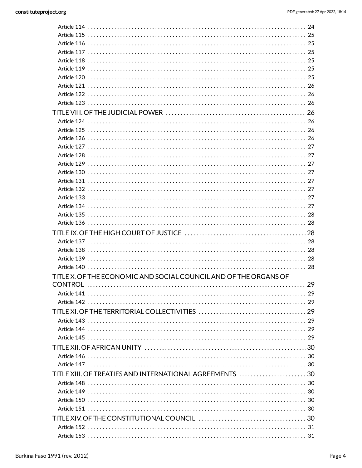| TITLE X. OF THE ECONOMIC AND SOCIAL COUNCIL AND OF THE ORGANS OF |    |
|------------------------------------------------------------------|----|
| <b>CONTROL</b>                                                   | 29 |
|                                                                  |    |
|                                                                  |    |
|                                                                  |    |
|                                                                  |    |
|                                                                  |    |
|                                                                  |    |
|                                                                  |    |
|                                                                  |    |
|                                                                  |    |
|                                                                  |    |
|                                                                  |    |
|                                                                  |    |
|                                                                  |    |
|                                                                  |    |
|                                                                  |    |
|                                                                  |    |
|                                                                  |    |
|                                                                  |    |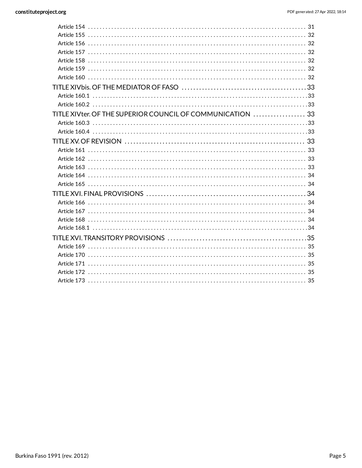| TITLE XIVter. OF THE SUPERIOR COUNCIL OF COMMUNICATION  33 |  |
|------------------------------------------------------------|--|
|                                                            |  |
|                                                            |  |
|                                                            |  |
|                                                            |  |
|                                                            |  |
|                                                            |  |
|                                                            |  |
|                                                            |  |
|                                                            |  |
|                                                            |  |
|                                                            |  |
|                                                            |  |
|                                                            |  |
|                                                            |  |
|                                                            |  |
|                                                            |  |
|                                                            |  |
|                                                            |  |
|                                                            |  |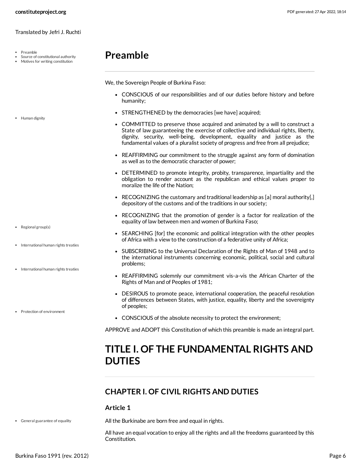Preamble

• Human dignity

• Regional group(s)

• International human rights treaties

• International human rights treaties

• Protection of environment

- Source of constitutional authority
- Motives for writing constitution

# <span id="page-5-0"></span>**Preamble**

We, the Sovereign People of Burkina Faso:

- CONSCIOUS of our responsibilities and of our duties before history and before humanity;
- STRENGTHENED by the democracies [we have] acquired;
- <span id="page-5-4"></span>COMMITTED to preserve those acquired and animated by a will to construct a State of law guaranteeing the exercise of collective and individual rights, liberty, dignity, security, well-being, development, equality and justice as the fundamental values of a pluralist society of progress and free from all prejudice;
- REAFFIRMING our commitment to the struggle against any form of domination as well as to the democratic character of power;
- DETERMINED to promote integrity, probity, transparence, impartiality and the obligation to render account as the republican and ethical values proper to moralize the life of the Nation;
- RECOGNIZING the customary and traditional leadership as [a] moral authority[,] depository of the customs and of the traditions in our society;
- RECOGNIZING that the promotion of gender is a factor for realization of the equality of law between men and women of Burkina Faso;
- <span id="page-5-7"></span>• SEARCHING [for] the economic and political integration with the other peoples of Africa with a view to the construction of a federative unity of Africa;
- <span id="page-5-5"></span>• SUBSCRIBING to the Universal Declaration of the Rights of Man of 1948 and to the international instruments concerning economic, political, social and cultural problems;
- REAFFIRMING solemnly our commitment vis-a-vis the African Charter of the Rights of Man and of Peoples of 1981;
- DESIROUS to promote peace, international cooperation, the peaceful resolution of differences between States, with justice, equality, liberty and the sovereignty of peoples;
- <span id="page-5-6"></span>CONSCIOUS of the absolute necessity to protect the environment;

APPROVE and ADOPT this Constitution of which this preamble is made an integral part.

# <span id="page-5-1"></span>**TITLE I. OF THE FUNDAMENTAL RIGHTS AND DUTIES**

### <span id="page-5-2"></span>**CHAPTER I. OF CIVIL RIGHTS AND DUTIES**

#### **Article 1**

General guarantee of equality

<span id="page-5-3"></span>All the Burkinabe are born free and equal in rights.

All have an equal vocation to enjoy all the rights and all the freedoms guaranteed by this Constitution.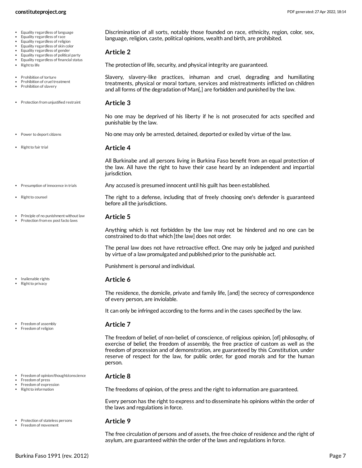- Equality regardless of language
- Equality regardless of race
- Equality regardless of religion
- Equality regardless of skin color
- Equality regardless of gender
- Equality regardless of political party Equality regardless of financial status
- Right to life
- Prohibition of torture
- Prohibition of cruel treatment
- Prohibition of slavery
- Protection from uniustified restraint

Principle of no punishment without law Protection from ex post facto laws

- Power to deport citizens
- Right to fair trial

• Right to counsel

Inalienable rights Right to privacy

• Freedom of assembly Freedom of religion

> Freedom of press Freedom of expression Right to information

<span id="page-6-11"></span>**Article 4**

**Article 2**

<span id="page-6-9"></span>**Article 3**

punishable by the law.

All Burkinabe and all persons living in Burkina Faso benefit from an equal protection of the law. All have the right to have their case heard by an independent and impartial jurisdiction.

<span id="page-6-0"></span>Discrimination of all sorts, notably those founded on race, ethnicity, region, color, sex,

<span id="page-6-8"></span>Slavery, slavery-like practices, inhuman and cruel, degrading and humiliating treatments, physical or moral torture, services and mistreatments inflicted on children and all forms of the degradation of Man[,] are forbidden and punished by the law.

No one may be deprived of his liberty if he is not prosecuted for acts specified and

<span id="page-6-5"></span>No one may only be arrested, detained, deported or exiled by virtue of the law.

language, religion, caste, political opinions, wealth and birth, are prohibited.

<span id="page-6-12"></span>The protection of life, security, and physical integrity are guaranteed.

Any accused is presumed innocent until his guilt has been established. • Presumption of innocence in trials

> <span id="page-6-10"></span><span id="page-6-6"></span>The right to a defense, including that of freely choosing one's defender is guaranteed before all the jurisdictions.

#### <span id="page-6-7"></span>**Article 5**

Anything which is not forbidden by the law may not be hindered and no one can be constrained to do that which [the law] does not order.

The penal law does not have retroactive effect. One may only be judged and punished by virtue of a law promulgated and published prior to the punishable act.

Punishment is personal and individual.

#### <span id="page-6-4"></span>**Article 6**

The residence, the domicile, private and family life, [and] the secrecy of correspondence of every person, are inviolable.

It can only be infringed according to the forms and in the cases specified by the law.

#### <span id="page-6-1"></span>**Article 7**

The freedom of belief, of non-belief, of conscience, of religious opinion, [of] philosophy, of exercise of belief, the freedom of assembly, the free practice of custom as well as the freedom of procession and of demonstration, are guaranteed by this Constitution, under reserve of respect for the law, for public order, for good morals and for the human person.

#### <span id="page-6-2"></span>**Article 8**

The freedoms of opinion, of the press and the right to information are guaranteed.

Every person has the right to express and to disseminate his opinions within the order of the laws and regulations in force.

#### <span id="page-6-3"></span>**Article 9**

The free circulation of persons and of assets, the free choice of residence and the right of asylum, are guaranteed within the order of the laws and regulations in force.

• Freedom of opinion/thought/conscience

• Protection of stateless persons • Freedom of movement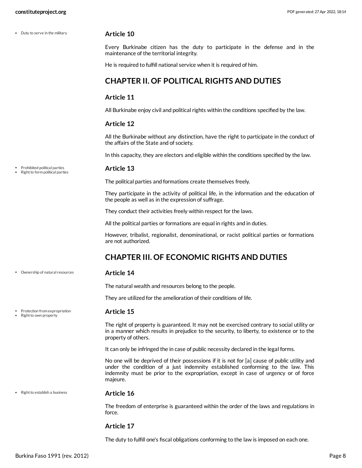Duty to serve in the military

Prohibited political parties Right to form political parties

Ownership of natural resources

Protection from expropriation Right to own property

#### <span id="page-7-2"></span>**Article 10**

Every Burkinabe citizen has the duty to participate in the defense and in the maintenance of the territorial integrity.

He is required to fulfill national service when it is required of him.

#### <span id="page-7-0"></span>**CHAPTER II. OF POLITICAL RIGHTS AND DUTIES**

#### **Article 11**

All Burkinabe enjoy civil and political rights within the conditions specified by the law.

#### **Article 12**

All the Burkinabe without any distinction, have the right to participate in the conduct of the affairs of the State and of society.

In this capacity, they are electors and eligible within the conditions specified by the law.

#### <span id="page-7-4"></span>**Article 13**

The political parties and formations create themselves freely.

They participate in the activity of political life, in the information and the education of the people as well as in the expression of suffrage.

They conduct their activities freely within respect for the laws.

All the political parties or formations are equal in rights and in duties.

However, tribalist, regionalist, denominational, or racist political parties or formations are not authorized.

### <span id="page-7-1"></span>**CHAPTER III. OF ECONOMIC RIGHTS AND DUTIES**

#### **Article 14**

<span id="page-7-3"></span>The natural wealth and resources belong to the people.

<span id="page-7-5"></span>They are utilized for the amelioration of their conditions of life.

#### **Article 15**

The right of property is guaranteed. It may not be exercised contrary to social utility or in a manner which results in prejudice to the security, to liberty, to existence or to the property of others.

It can only be infringed the in case of public necessity declared in the legal forms.

No one will be deprived of their possessions if it is not for [a] cause of public utility and under the condition of a just indemnity established conforming to the law. This indemnity must be prior to the expropriation, except in case of urgency or of force majeure.

• Right to establish a business

#### <span id="page-7-6"></span>**Article 16**

The freedom of enterprise is guaranteed within the order of the laws and regulations in force.

#### **Article 17**

The duty to fulfill one's fiscal obligations conforming to the law is imposed on each one.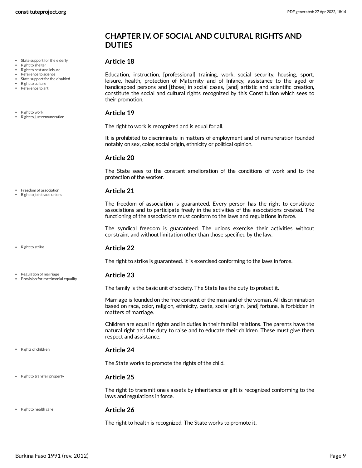### <span id="page-8-0"></span>**CHAPTER IV. OF SOCIAL AND CULTURAL RIGHTS AND DUTIES**

#### <span id="page-8-3"></span>**Article 18**

• State support for the elderly Right to shelter

- Right to rest and leisure Reference to science
- State support for the disabled
- Right to culture
- Reference to art
- Right to work
- Right to just remuneration

• Freedom of association

Right to join trade unions

• Right to strike

- 
- Regulation of marriage Provision for matrimonial equality

• Rights of children

#### <span id="page-8-8"></span>**Article 24**

<span id="page-8-7"></span>**Article 25**

The State works to promote the rights of the child.

#### • Right to transfer property

The right to transmit one's assets by inheritance or gift is recognized conforming to the laws and regulations in force.

**Article 26** • Right to health care

<span id="page-8-4"></span>The right to health is recognized. The State works to promote it.

Education, instruction, [professional] training, work, social security, housing, sport, leisure, health, protection of Maternity and of Infancy, assistance to the aged or handicapped persons and [those] in social cases, [and] artistic and scientific creation, constitute the social and cultural rights recognized by this Constitution which sees to their promotion.

#### <span id="page-8-5"></span>**Article 19**

The right to work is recognized and is equal for all.

It is prohibited to discriminate in matters of employment and of remuneration founded notably on sex, color, social origin, ethnicity or political opinion.

#### **Article 20**

The State sees to the constant amelioration of the conditions of work and to the protection of the worker.

#### <span id="page-8-1"></span>**Article 21**

The freedom of association is guaranteed. Every person has the right to constitute associations and to participate freely in the activities of the associations created. The functioning of the associations must conform to the laws and regulations in force.

The syndical freedom is guaranteed. The unions exercise their activities without constraint and without limitation other than those specified by the law.

#### <span id="page-8-6"></span>**Article 22**

The right to strike is guaranteed. It is exercised conforming to the laws in force.

#### <span id="page-8-2"></span>**Article 23**

The family is the basic unit of society. The State has the duty to protect it.

Marriage is founded on the free consent of the man and of the woman. All discrimination based on race, color, religion, ethnicity, caste, social origin, [and] fortune, is forbidden in matters of marriage.

Children are equal in rights and in duties in their familial relations. The parents have the natural right and the duty to raise and to educate their children. These must give them respect and assistance.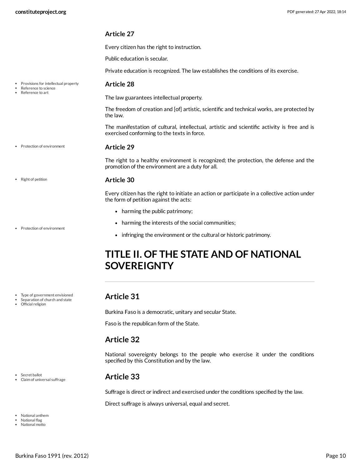<span id="page-9-6"></span>**Article 28**

the law.

Every citizen has the right to instruction.

The law guarantees intellectual property.

exercised conforming to the texts in force.

Public education is secular.

Private education is recognized. The law establishes the conditions of its exercise.

- Provisions for intellectual property
- Reference to science Reference to art
- 
- Protection of environment

#### <span id="page-9-5"></span>**Article 29**

The right to a healthy environment is recognized; the protection, the defense and the promotion of the environment are a duty for all.

The freedom of creation and [of] artistic, scientific and technical works, are protected by

The manifestation of cultural, intellectual, artistic and scientific activity is free and is

#### **Article 30**

<span id="page-9-7"></span>Every citizen has the right to initiate an action or participate in a collective action under the form of petition against the acts:

- harming the public patrimony;
- harming the interests of the social communities;
- infringing the environment or the cultural or historic patrimony.

# <span id="page-9-0"></span>**TITLE II. OF THE STATE AND OF NATIONAL SOVEREIGNTY**

#### <span id="page-9-1"></span>**Article 31**

Burkina Faso is a democratic, unitary and secular State.

Faso is the republican form of the State.

#### <span id="page-9-2"></span>**Article 32**

National sovereignty belongs to the people who exercise it under the conditions specified by this Constitution and by the law.

#### <span id="page-9-3"></span>**Article 33**

Suffrage is direct or indirect and exercised under the conditions specified by the law.

<span id="page-9-4"></span>Direct suffrage is always universal, equal and secret.

• Right of petition

Protection of environment

- Type of government envisioned
- Separation of church and state
- Official religion

• Secret ballot

National anthem National flag National motto

Claim of universal suffrage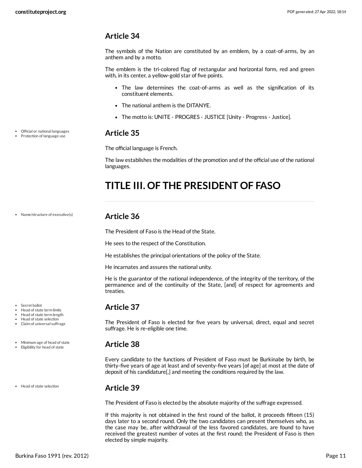<span id="page-10-0"></span>The symbols of the Nation are constituted by an emblem, by a coat-of-arms, by an anthem and by a motto.

The emblem is the tri-colored flag of rectangular and horizontal form, red and green with, in its center, a yellow-gold star of five points.

- The law determines the coat-of-arms as well as the signification of its constituent elements.
- The national anthem is the DITANYE.
- The motto is: UNITE PROGRES JUSTICE [Unity Progress Justice].

#### <span id="page-10-1"></span>**Article 35**

The official language is French.

The law establishes the modalities of the promotion and of the official use of the national languages.

# <span id="page-10-2"></span>**TITLE III. OF THE PRESIDENT OF FASO**

Name/structure of executive(s)

Official or national languages Protection of language use

- Secret ballot Head of state term limits
- Head of state term length
- Head of state selection
- Claim of universal suffrage
- Minimum age of head of state
- Eligibility for head of state

Head of state selection

#### <span id="page-10-3"></span>**Article 36**

The President of Faso is the Head of the State.

He sees to the respect of the Constitution.

He establishes the principal orientations of the policy of the State.

He incarnates and assures the national unity.

He is the guarantor of the national independence, of the integrity of the territory, of the permanence and of the continuity of the State, [and] of respect for agreements and treaties.

#### <span id="page-10-4"></span>**Article 37**

The President of Faso is elected for five years by universal, direct, equal and secret suffrage. He is re-eligible one time.

#### <span id="page-10-5"></span>**Article 38**

Every candidate to the functions of President of Faso must be Burkinabe by birth, be thirty-five years of age at least and of seventy-five years [of age] at most at the date of deposit of his candidature[,] and meeting the conditions required by the law.

#### <span id="page-10-6"></span>**Article 39**

The President of Faso is elected by the absolute majority of the suffrage expressed.

If this majority is not obtained in the first round of the ballot, it proceeds fifteen (15) days later to a second round. Only the two candidates can present themselves who, as the case may be, after withdrawal of the less favored candidates, are found to have received the greatest number of votes at the first round; the President of Faso is then elected by simple majority.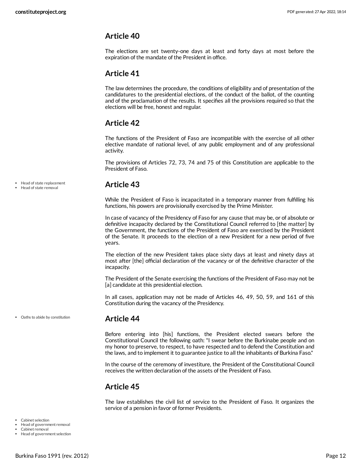<span id="page-11-0"></span>The elections are set twenty-one days at least and forty days at most before the expiration of the mandate of the President in office.

#### <span id="page-11-1"></span>**Article 41**

The law determines the procedure, the conditions of eligibility and of presentation of the candidatures to the presidential elections, of the conduct of the ballot, of the counting and of the proclamation of the results. It specifies all the provisions required so that the elections will be free, honest and regular.

### <span id="page-11-2"></span>**Article 42**

The functions of the President of Faso are incompatible with the exercise of all other elective mandate of national level, of any public employment and of any professional activity.

The provisions of Articles 72, 73, 74 and 75 of this Constitution are applicable to the President of Faso.

<span id="page-11-3"></span>**Article 43**

While the President of Faso is incapacitated in a temporary manner from fulfilling his functions, his powers are provisionally exercised by the Prime Minister.

In case of vacancy of the Presidency of Faso for any cause that may be, or of absolute or definitive incapacity declared by the Constitutional Council referred to [the matter] by the Government, the functions of the President of Faso are exercised by the President of the Senate. It proceeds to the election of a new President for a new period of five years.

The election of the new President takes place sixty days at least and ninety days at most after [the] official declaration of the vacancy or of the definitive character of the incapacity.

The President of the Senate exercising the functions of the President of Faso may not be [a] candidate at this presidential election.

In all cases, application may not be made of Articles 46, 49, 50, 59, and 161 of this Constitution during the vacancy of the Presidency.

Oaths to abide by constitution

Head of state replacement Head of state removal

#### <span id="page-11-4"></span>**Article 44**

Before entering into [his] functions, the President elected swears before the Constitutional Council the following oath: "I swear before the Burkinabe people and on my honor to preserve, to respect, to have respected and to defend the Constitution and the laws, and to implement it to guarantee justice to all the inhabitants of Burkina Faso."

In the course of the ceremony of investiture, the President of the Constitutional Council receives the written declaration of the assets of the President of Faso.

#### <span id="page-11-5"></span>**Article 45**

<span id="page-11-6"></span>The law establishes the civil list of service to the President of Faso. It organizes the service of a pension in favor of former Presidents.

- Cabinet selection
- Head of government removal
- Cabinet removal

Head of government selection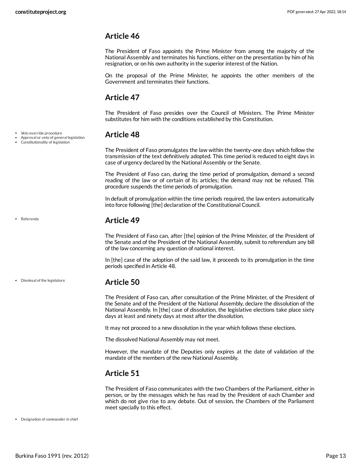<span id="page-12-0"></span>The President of Faso appoints the Prime Minister from among the majority of the National Assembly and terminates his functions, either on the presentation by him of his resignation, or on his own authority in the superior interest of the Nation.

On the proposal of the Prime Minister, he appoints the other members of the Government and terminates their functions.

### <span id="page-12-1"></span>**Article 47**

The President of Faso presides over the Council of Ministers. The Prime Minister substitutes for him with the conditions established by this Constitution.

### <span id="page-12-2"></span>**Article 48**

The President of Faso promulgates the law within the twenty-one days which follow the transmission of the text definitively adopted. This time period is reduced to eight days in case of urgency declared by the National Assembly or the Senate.

The President of Faso can, during the time period of promulgation, demand a second reading of the law or of certain of its articles; the demand may not be refused. This procedure suspends the time periods of promulgation.

In default of promulgation within the time periods required, the law enters automatically into force following [the] declaration of the Constitutional Council.

### <span id="page-12-3"></span>**Article 49**

The President of Faso can, after [the] opinion of the Prime Minister, of the President of the Senate and of the President of the National Assembly, submit to referendum any bill of the law concerning any question of national interest.

In [the] case of the adoption of the said law, it proceeds to its promulgation in the time periods specified in Article 48.

#### <span id="page-12-4"></span>**Article 50**

The President of Faso can, after consultation of the Prime Minister, of the President of the Senate and of the President of the National Assembly, declare the dissolution of the National Assembly. In [the] case of dissolution, the legislative elections take place sixty days at least and ninety days at most after the dissolution.

It may not proceed to a new dissolution in the year which follows these elections.

The dissolved National Assembly may not meet.

However, the mandate of the Deputies only expires at the date of validation of the mandate of the members of the new National Assembly.

### <span id="page-12-5"></span>**Article 51**

<span id="page-12-6"></span>The President of Faso communicates with the two Chambers of the Parliament, either in person, or by the messages which he has read by the President of each Chamber and which do not give rise to any debate. Out of session, the Chambers of the Parliament meet specially to this effect.

Designation of commander in chief

Veto override procedure

Approval or veto of general legislation Constitutionality of legislation

Referenda

Dismissal of the legislature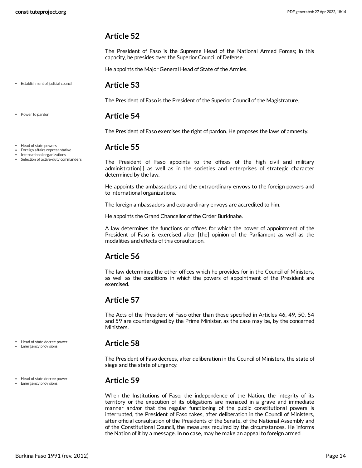<span id="page-13-0"></span>The President of Faso is the Supreme Head of the National Armed Forces; in this capacity, he presides over the Superior Council of Defense.

He appoints the Major General Head of State of the Armies.

#### Establishment of judicial council

#### <span id="page-13-1"></span>**Article 53**

The President of Faso is the President of the Superior Council of the Magistrature.

#### <span id="page-13-2"></span>**Article 54**

The President of Faso exercises the right of pardon. He proposes the laws of amnesty.

#### <span id="page-13-3"></span>**Article 55**

The President of Faso appoints to the offices of the high civil and military administration[,] as well as in the societies and enterprises of strategic character determined by the law.

He appoints the ambassadors and the extraordinary envoys to the foreign powers and to international organizations.

The foreign ambassadors and extraordinary envoys are accredited to him.

He appoints the Grand Chancellor of the Order Burkinabe.

A law determines the functions or offices for which the power of appointment of the President of Faso is exercised after [the] opinion of the Parliament as well as the modalities and effects of this consultation.

### <span id="page-13-4"></span>**Article 56**

The law determines the other offices which he provides for in the Council of Ministers, as well as the conditions in which the powers of appointment of the President are exercised.

### <span id="page-13-5"></span>**Article 57**

The Acts of the President of Faso other than those specified in Articles 46, 49, 50, 54 and 59 are countersigned by the Prime Minister, as the case may be, by the concerned Ministers.

#### <span id="page-13-6"></span>**Article 58**

The President of Faso decrees, after deliberation in the Council of Ministers, the state of siege and the state of urgency.

#### <span id="page-13-7"></span>**Article 59**

When the Institutions of Faso, the independence of the Nation, the integrity of its territory or the execution of its obligations are menaced in a grave and immediate manner and/or that the regular functioning of the public constitutional powers is interrupted, the President of Faso takes, after deliberation in the Council of Ministers, after official consultation of the Presidents of the Senate, of the National Assembly and of the Constitutional Council, the measures required by the circumstances. He informs the Nation of it by a message. In no case, may he make an appeal to foreign armed

Power to pardon

- Head of state powers
- Foreign affairs representative
- International organizations • Selection of active-duty commanders

Head of state decree power Emergency provisions

Head of state decree power Emergency provisions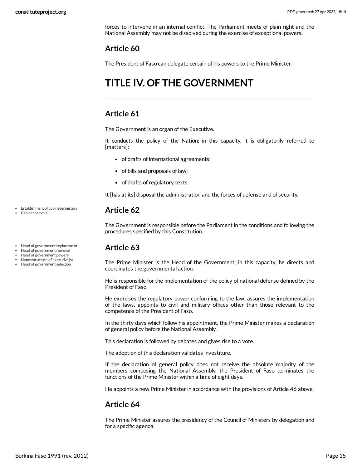forces to intervene in an internal conflict. The Parliament meets of plain right and the National Assembly may not be dissolved during the exercise of exceptional powers.

### <span id="page-14-0"></span>**Article 60**

The President of Faso can delegate certain of his powers to the Prime Minister.

# <span id="page-14-1"></span>**TITLE IV. OF THE GOVERNMENT**

#### <span id="page-14-2"></span>**Article 61**

The Government is an organ of the Executive.

It conducts the policy of the Nation; in this capacity, it is obligatorily referred to [matters]:

- of drafts of international agreements;
- of bills and proposals of law;
- of drafts of regulatory texts.

It [has at its] disposal the administration and the forces of defense and of security.

#### <span id="page-14-3"></span>**Article 62**

The Government is responsible before the Parliament in the conditions and following the procedures specified by this Constitution.

### <span id="page-14-4"></span>**Article 63**

The Prime Minister is the Head of the Government; in this capacity, he directs and coordinates the governmental action.

He is responsible for the implementation of the policy of national defense defined by the President of Faso.

He exercises the regulatory power conforming to the law, assures the implementation of the laws, appoints to civil and military offices other than those relevant to the competence of the President of Faso.

In the thirty days which follow his appointment, the Prime Minister makes a declaration of general policy before the National Assembly.

This declaration is followed by debates and gives rise to a vote.

The adoption of this declaration validates investiture.

If the declaration of general policy does not receive the absolute majority of the members composing the National Assembly, the President of Faso terminates the functions of the Prime Minister within a time of eight days.

He appoints a new Prime Minister in accordance with the provisions of Article 46 above.

#### <span id="page-14-5"></span>**Article 64**

The Prime Minister assures the presidency of the Council of Ministers by delegation and for a specific agenda.

Establishment of cabinet/ministers Cabinet removal

- 
- Head of government replacement
- Head of government removal
- Head of government powers Name/structure of executive(s)
- Head of government selection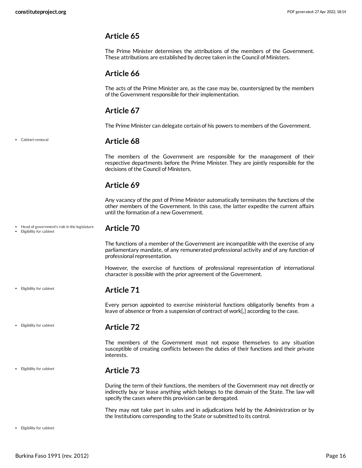<span id="page-15-0"></span>The Prime Minister determines the attributions of the members of the Government. These attributions are established by decree taken in the Council of Ministers.

#### <span id="page-15-1"></span>**Article 66**

The acts of the Prime Minister are, as the case may be, countersigned by the members of the Government responsible for their implementation.

#### <span id="page-15-2"></span>**Article 67**

The Prime Minister can delegate certain of his powers to members of the Government.

Cabinet removal

#### <span id="page-15-3"></span>**Article 68**

The members of the Government are responsible for the management of their respective departments before the Prime Minister. They are jointly responsible for the decisions of the Council of Ministers.

### <span id="page-15-4"></span>**Article 69**

Any vacancy of the post of Prime Minister automatically terminates the functions of the other members of the Government. In this case, the latter expedite the current affairs until the formation of a new Government.

- Head of government's role in the legislature
- Eligibility for cabinet

<span id="page-15-5"></span>**Article 70**

The functions of a member of the Government are incompatible with the exercise of any parliamentary mandate, of any remunerated professional activity and of any function of professional representation.

However, the exercise of functions of professional representation of international character is possible with the prior agreement of the Government.

#### <span id="page-15-6"></span>**Article 71**

Every person appointed to exercise ministerial functions obligatorily benefits from a leave of absence or from a suspension of contract of work[,] according to the case.

Eligibility for cabinet

Eligibility for cabinet

Eligibility for cabinet

#### <span id="page-15-7"></span>**Article 72**

The members of the Government must not expose themselves to any situation susceptible of creating conflicts between the duties of their functions and their private interests.

#### <span id="page-15-8"></span>**Article 73**

During the term of their functions, the members of the Government may not directly or indirectly buy or lease anything which belongs to the domain of the State. The law will specify the cases where this provision can be derogated.

They may not take part in sales and in adjudications held by the Administration or by the Institutions corresponding to the State or submitted to its control.

Eligibility for cabinet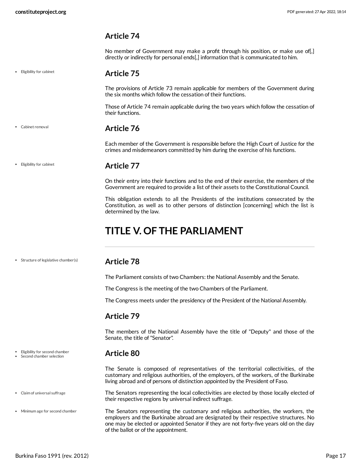Eligibility for cabinet

#### <span id="page-16-0"></span>**Article 74**

No member of Government may make a profit through his position, or make use of[,] directly or indirectly for personal ends[,] information that is communicated to him.

#### <span id="page-16-1"></span>**Article 75**

The provisions of Article 73 remain applicable for members of the Government during the six months which follow the cessation of their functions.

Those of Article 74 remain applicable during the two years which follow the cessation of their functions.

#### **Article 76**

<span id="page-16-2"></span>Each member of the Government is responsible before the High Court of Justice for the crimes and misdemeanors committed by him during the exercise of his functions.

#### Eligibility for cabinet

Cabinet removal

#### <span id="page-16-3"></span>**Article 77**

On their entry into their functions and to the end of their exercise, the members of the Government are required to provide a list of their assets to the Constitutional Council.

This obligation extends to all the Presidents of the institutions consecrated by the Constitution, as well as to other persons of distinction [concerning] which the list is determined by the law.

# <span id="page-16-4"></span>**TITLE V. OF THE PARLIAMENT**

• Structure of legislative chamber(s)

#### <span id="page-16-5"></span>**Article 78**

The Parliament consists of two Chambers: the National Assembly and the Senate.

The Congress is the meeting of the two Chambers of the Parliament.

The Congress meets under the presidency of the President of the National Assembly.

#### <span id="page-16-6"></span>**Article 79**

The members of the National Assembly have the title of "Deputy" and those of the Senate, the title of"Senator".

#### <span id="page-16-7"></span>**Article 80**

The Senate is composed of representatives of the territorial collectivities, of the customary and religious authorities, of the employers, of the workers, of the Burkinabe living abroad and of persons of distinction appointed by the President of Faso.

<span id="page-16-8"></span>The Senators representing the local collectivities are elected by those locally elected of their respective regions by universal indirect suffrage.

<span id="page-16-9"></span>The Senators representing the customary and religious authorities, the workers, the employers and the Burkinabe abroad are designated by their respective structures. No one may be elected or appointed Senator if they are not forty-five years old on the day of the ballot or of the appointment.

Eligibility for second chamber Second chamber selection

- Claim of universal suffrage
- Minimum age for second chamber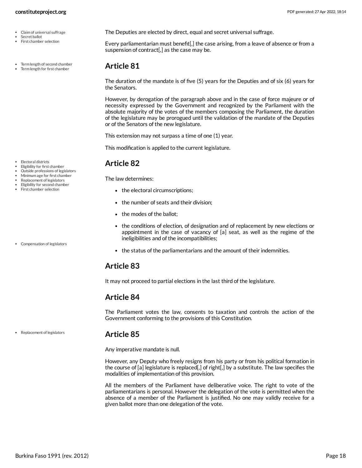- Claim of universal suffrage
- Secret ballot First chamber selection
- Term length of second chamber Term length for first chamber
- 

- Electoral districts
- Eligibility for first chamber
- Outside professions of legislators
- Minimum age for first chamber
- Replacement of legislators Eligibility for second chamber
- First chamber selection

Compensation of legislators

Replacement of legislators

### <span id="page-17-4"></span>**Article 85**

Any imperative mandate is null.

However, any Deputy who freely resigns from his party or from his political formation in the course of [a] legislature is replaced[,] of right[,] by a substitute. The law specifies the modalities of implementation of this provision.

All the members of the Parliament have deliberative voice. The right to vote of the parliamentarians is personal. However the delegation of the vote is permitted when the absence of a member of the Parliament is justified. No one may validly receive for a given ballot more than one delegation of the vote.

<span id="page-17-5"></span>Every parliamentarian must benefit<sup>[</sup>,] the case arising, from a leave of absence or from a suspension of contract[,] as the case may be.

### <span id="page-17-0"></span>**Article 81**

The duration of the mandate is of five (5) years for the Deputies and of six (6) years for the Senators.

However, by derogation of the paragraph above and in the case of force majeure or of necessity expressed by the Government and recognized by the Parliament with the absolute majority of the votes of the members composing the Parliament, the duration of the legislature may be prorogued until the validation of the mandate of the Deputies or of the Senators of the new legislature.

This extension may not surpass a time of one (1) year.

This modification is applied to the current legislature.

### <span id="page-17-1"></span>**Article 82**

The law determines:

- the electoral circumscriptions;
- the number of seats and their division;
- the modes of the ballot:
- the conditions of election, of designation and of replacement by new elections or appointment in the case of vacancy of [a] seat, as well as the regime of the ineligibilities and of the incompatibilities;
- <span id="page-17-6"></span>the status of the parliamentarians and the amount of their indemnities.

### <span id="page-17-2"></span>**Article 83**

It may not proceed to partial elections in the last third of the legislature.

## <span id="page-17-3"></span>**Article 84**

The Parliament votes the law, consents to taxation and controls the action of the Government conforming to the provisions of this Constitution.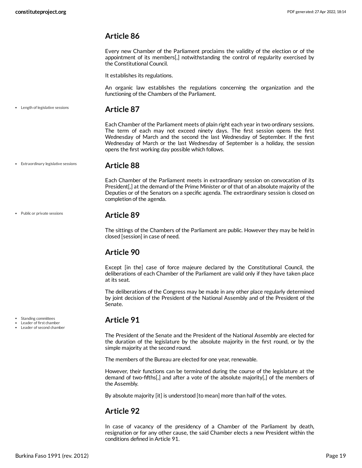<span id="page-18-0"></span>Every new Chamber of the Parliament proclaims the validity of the election or of the appointment of its members[,] notwithstanding the control of regularity exercised by the Constitutional Council.

It establishes its regulations.

An organic law establishes the regulations concerning the organization and the functioning of the Chambers of the Parliament.

Length of legislative sessions

#### <span id="page-18-1"></span>**Article 87**

Each Chamber of the Parliament meets of plain right each year in two ordinary sessions. The term of each may not exceed ninety days. The first session opens the first Wednesday of March and the second the last Wednesday of September. If the first Wednesday of March or the last Wednesday of September is a holiday, the session opens the first working day possible which follows.

Extraordinary legislative sessions

#### <span id="page-18-2"></span>**Article 88**

Each Chamber of the Parliament meets in extraordinary session on convocation of its President[,] at the demand of the Prime Minister or of that of an absolute majority of the Deputies or of the Senators on a specific agenda. The extraordinary session is closed on completion of the agenda.

• Public or private sessions

Standing committees Leader of first chamber Leader of second chamber

#### <span id="page-18-3"></span>**Article 89**

The sittings of the Chambers of the Parliament are public. However they may be held in closed [session] in case of need.

#### <span id="page-18-4"></span>**Article 90**

Except [in the] case of force majeure declared by the Constitutional Council, the deliberations of each Chamber of the Parliament are valid only if they have taken place at its seat.

The deliberations of the Congress may be made in any other place regularly determined by joint decision of the President of the National Assembly and of the President of the Senate.

#### <span id="page-18-5"></span>**Article 91**

The President of the Senate and the President of the National Assembly are elected for the duration of the legislature by the absolute majority in the first round, or by the simple majority at the second round.

The members of the Bureau are elected for one year, renewable.

However, their functions can be terminated during the course of the legislature at the demand of two-fifths[,] and after a vote of the absolute majority[,] of the members of the Assembly.

By absolute majority [it] is understood [to mean] more than half of the votes.

#### <span id="page-18-6"></span>**Article 92**

In case of vacancy of the presidency of a Chamber of the Parliament by death, resignation or for any other cause, the said Chamber elects a new President within the conditions defined in Article 91.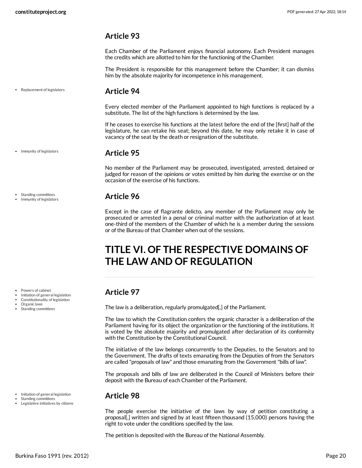<span id="page-19-0"></span>Each Chamber of the Parliament enjoys financial autonomy. Each President manages the credits which are allotted to him for the functioning of the Chamber.

The President is responsible for this management before the Chamber; it can dismiss him by the absolute majority for incompetence in his management.

Replacement of legislators

#### <span id="page-19-1"></span>**Article 94**

Every elected member of the Parliament appointed to high functions is replaced by a substitute. The list of the high functions is determined by the law.

If he ceases to exercise his functions at the latest before the end of the [first] half of the legislature, he can retake his seat; beyond this date, he may only retake it in case of vacancy of the seat by the death or resignation of the substitute.

#### <span id="page-19-2"></span>**Article 95**

No member of the Parliament may be prosecuted, investigated, arrested, detained or judged for reason of the opinions or votes emitted by him during the exercise or on the occasion of the exercise of his functions.

#### <span id="page-19-3"></span>**Article 96**

Except in the case of flagrante delicto, any member of the Parliament may only be prosecuted or arrested in a penal or criminal matter with the authorization of at least one-third of the members of the Chamber of which he is a member during the sessions or of the Bureau of that Chamber when out of the sessions.

# <span id="page-19-4"></span>**TITLE VI. OF THE RESPECTIVE DOMAINS OF THE LAW AND OF REGULATION**

## <span id="page-19-5"></span>**Article 97**

The law is a deliberation, regularly promulgated[,] of the Parliament.

The law to which the Constitution confers the organic character is a deliberation of the Parliament having for its object the organization or the functioning of the institutions. It is voted by the absolute majority and promulgated after declaration of its conformity with the Constitution by the Constitutional Council.

The initiative of the law belongs concurrently to the Deputies, to the Senators and to the Government. The drafts of texts emanating from the Deputies of from the Senators are called "proposals of law" and those emanating from the Government "bills of law".

The proposals and bills of law are deliberated in the Council of Ministers before their deposit with the Bureau of each Chamber of the Parliament.

#### <span id="page-19-6"></span>**Article 98**

The people exercise the initiative of the laws by way of petition constituting a proposal[,] written and signed by at least fifteen thousand (15,000) persons having the right to vote under the conditions specified by the law.

The petition is deposited with the Bureau of the National Assembly.

• Immunity of legislators

Standing committees Immunity of legislators

Powers of cabinet

- Initiation of general legislation
- Constitutionality of legislation
- Organic laws
- Standing committees

- Initiation of general legislation
- Standing committees
- Legislative initiatives by citizens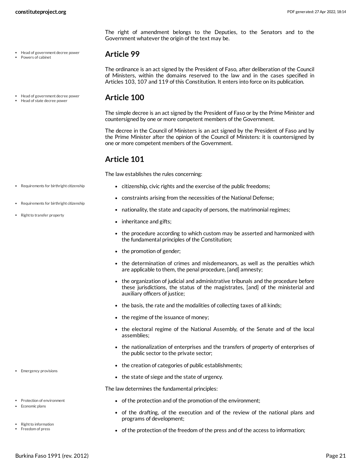- Head of government decree power
- Powers of cabinet
- Head of government decree power Head of state decree power

<span id="page-20-0"></span>**Article 99**

<span id="page-20-1"></span>The simple decree is an act signed by the President of Faso or by the Prime Minister and countersigned by one or more competent members of the Government.

<span id="page-20-6"></span>The right of amendment belongs to the Deputies, to the Senators and to the

The ordinance is an act signed by the President of Faso, after deliberation of the Council of Ministers, within the domains reserved to the law and in the cases specified in Articles 103, 107 and 119 of this Constitution. It enters into force on its publication.

The decree in the Council of Ministers is an act signed by the President of Faso and by the Prime Minister after the opinion of the Council of Ministers: it is countersigned by one or more competent members of the Government.

#### <span id="page-20-2"></span>**Article 101**

<span id="page-20-7"></span>The law establishes the rules concerning:

Government whatever the origin of the text may be.

- citizenship, civic rights and the exercise of the public freedoms;
- constraints arising from the necessities of the National Defense;
- nationality, the state and capacity of persons, the matrimonial regimes;
- <span id="page-20-8"></span>• inheritance and gifts;
- the procedure according to which custom may be asserted and harmonized with the fundamental principles of the Constitution;
- the promotion of gender;
- the determination of crimes and misdemeanors, as well as the penalties which are applicable to them, the penal procedure, [and] amnesty;
- the organization of judicial and administrative tribunals and the procedure before these jurisdictions, the status of the magistrates, [and] of the ministerial and auxiliary officers of justice;
- the basis, the rate and the modalities of collecting taxes of all kinds;
- the regime of the issuance of money;
- the electoral regime of the National Assembly, of the Senate and of the local assemblies;
- the nationalization of enterprises and the transfers of property of enterprises of the public sector to the private sector;
- the creation of categories of public establishments;
- <span id="page-20-4"></span>• the state of siege and the state of urgency.

The law determines the fundamental principles:

- of the protection and of the promotion of the environment;
- <span id="page-20-3"></span>of the drafting, of the execution and of the review of the national plans and programs of development;
- <span id="page-20-5"></span>• of the protection of the freedom of the press and of the access to information;
- Requirements for birthright citizenship
- Requirements for birthright citizenship
- Right to transfer property

• Emergency provisions

• Protection of environment • Economic plans

> Right to information Freedom of press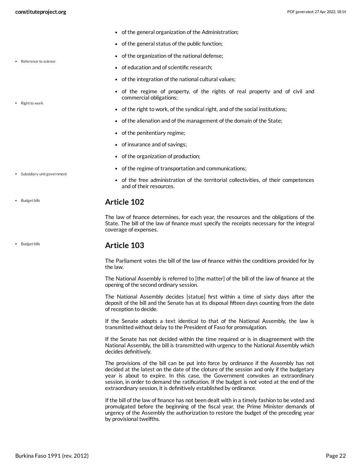• Reference to science

• Right to work

- of the general organization of the Administration;
- of the general status of the public function;
- of the organization of the national defense;
- <span id="page-21-2"></span>of education and of scientific research;
- of the integration of the national cultural values;
- of the regime of property, of the rights of real property and of civil and commercial obligations;
- <span id="page-21-3"></span>of the right to work, of the syndical right, and of the social institutions;
- of the alienation and of the management of the domain of the State;
- of the penitentiary regime;
- of insurance and of savings;
- of the organization of production;
- of the regime of transportation and communications;
- <span id="page-21-4"></span>of the free administration of the territorial collectivities, of their competences and of their resources.

#### <span id="page-21-0"></span>**Article 102**

The law of finance determines, for each year, the resources and the obligations of the State. The bill of the law of finance must specify the receipts necessary for the integral coverage of expenses.

#### <span id="page-21-1"></span>**Article 103**

The Parliament votes the bill of the law of finance within the conditions provided for by the law.

The National Assembly is referred to [the matter] of the bill of the law of finance at the opening of the second ordinary session.

The National Assembly decides [statue] first within a time of sixty days after the deposit of the bill and the Senate has at its disposal fifteen days counting from the date of reception to decide.

If the Senate adopts a text identical to that of the National Assembly, the law is transmitted without delay to the President of Faso for promulgation.

If the Senate has not decided within the time required or is in disagreement with the National Assembly, the bill is transmitted with urgency to the National Assembly which decides definitively.

The provisions of the bill can be put into force by ordinance if the Assembly has not decided at the latest on the date of the cloture of the session and only if the budgetary year is about to expire. In this case, the Government convokes an extraordinary session, in order to demand the ratification. If the budget is not voted at the end of the extraordinary session, it is definitively established by ordinance.

If the bill of the law of finance has not been dealt with in a timely fashion to be voted and promulgated before the beginning of the fiscal year, the Prime Minister demands of urgency of the Assembly the authorization to restore the budget of the preceding year by provisional twelfths.

Subsidiary unit government

• Budget bills

• Budget bills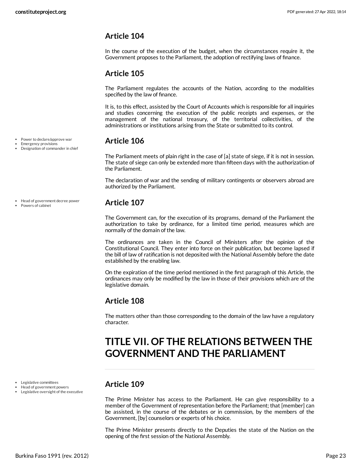<span id="page-22-0"></span>In the course of the execution of the budget, when the circumstances require it, the Government proposes to the Parliament, the adoption of rectifying laws of finance.

### <span id="page-22-1"></span>**Article 105**

The Parliament regulates the accounts of the Nation, according to the modalities specified by the law of finance.

It is, to this effect, assisted by the Court of Accounts which is responsible for all inquiries and studies concerning the execution of the public receipts and expenses, or the management of the national treasury, of the territorial collectivities, of the administrations or institutions arising from the State or submitted to its control.

### <span id="page-22-2"></span>**Article 106**

The Parliament meets of plain right in the case of [a] state of siege, if it is not in session. The state of siege can only be extended more than fifteen days with the authorization of the Parliament.

The declaration of war and the sending of military contingents or observers abroad are authorized by the Parliament.

#### <span id="page-22-3"></span>**Article 107**

The Government can, for the execution of its programs, demand of the Parliament the authorization to take by ordinance, for a limited time period, measures which are normally of the domain of the law.

The ordinances are taken in the Council of Ministers after the opinion of the Constitutional Council. They enter into force on their publication, but become lapsed if the bill of law of ratification is not deposited with the National Assembly before the date established by the enabling law.

On the expiration of the time period mentioned in the first paragraph of this Article, the ordinances may only be modified by the law in those of their provisions which are of the legislative domain.

### <span id="page-22-4"></span>**Article 108**

The matters other than those corresponding to the domain of the law have a regulatory character.

# <span id="page-22-5"></span>**TITLE VII. OF THE RELATIONS BETWEEN THE GOVERNMENT AND THE PARLIAMENT**

### <span id="page-22-6"></span>**Article 109**

The Prime Minister has access to the Parliament. He can give responsibility to a member of the Government of representation before the Parliament; that [member] can be assisted, in the course of the debates or in commission, by the members of the Government, [by] counselors or experts of his choice.

The Prime Minister presents directly to the Deputies the state of the Nation on the opening of the first session of the National Assembly.

Power to declare/approve war Emergency provisions

Designation of commander in chief

- Head of government decree power
- Powers of cabinet

Legislative committees Head of government powers Legislative oversight of the executive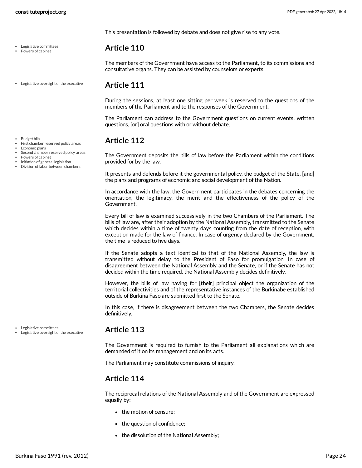Legislative committees Powers of cabinet

This presentation is followed by debate and does not give rise to any vote.

#### <span id="page-23-0"></span>**Article 110**

The members of the Government have access to the Parliament, to its commissions and consultative organs. They can be assisted by counselors or experts.

#### <span id="page-23-1"></span>**Article 111**

During the sessions, at least one sitting per week is reserved to the questions of the members of the Parliament and to the responses of the Government.

The Parliament can address to the Government questions on current events, written questions, [or] oral questions with or without debate.

### <span id="page-23-2"></span>**Article 112**

Economic plans Second chamber reserved policy areas

- Powers of cabinet
- Initiation of general legislation
- Division of labor between chambers

First chamber reserved policy areas

The Government deposits the bills of law before the Parliament within the conditions provided for by the law.

It presents and defends before it the governmental policy, the budget of the State, [and] the plans and programs of economic and social development of the Nation.

In accordance with the law, the Government participates in the debates concerning the orientation, the legitimacy, the merit and the effectiveness of the policy of the Government.

Every bill of law is examined successively in the two Chambers of the Parliament. The bills of law are, after their adoption by the National Assembly, transmitted to the Senate which decides within a time of twenty days counting from the date of reception, with exception made for the law of finance. In case of urgency declared by the Government, the time is reduced to five days.

If the Senate adopts a text identical to that of the National Assembly, the law is transmitted without delay to the President of Faso for promulgation. In case of disagreement between the National Assembly and the Senate, or if the Senate has not decided within the time required, the National Assembly decides definitively.

However, the bills of law having for [their] principal object the organization of the territorial collectivities and of the representative instances of the Burkinabe established outside of Burkina Faso are submitted first to the Senate.

In this case, if there is disagreement between the two Chambers, the Senate decides definitively.

Legislative committees Legislative oversight of the executive

#### **Article 113**

The Government is required to furnish to the Parliament all explanations which are demanded of it on its management and on its acts.

The Parliament may constitute commissions of inquiry.

### <span id="page-23-3"></span>**Article 114**

The reciprocal relations of the National Assembly and of the Government are expressed equally by:

- the motion of censure:
- the question of confidence;
- the dissolution of the National Assembly;

Legislative oversight of the executive

• Budget bills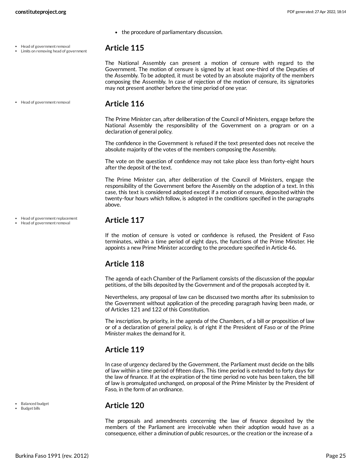- <span id="page-24-0"></span>• the procedure of parliamentary discussion.
- Head of government removal Limits on removing head of government

The National Assembly can present a motion of censure with regard to the Government. The motion of censure is signed by at least one-third of the Deputies of the Assembly. To be adopted, it must be voted by an absolute majority of the members composing the Assembly. In case of rejection of the motion of censure, its signatories may not present another before the time period of one year.

• Head of government removal

Head of government replacement Head of government removal

#### <span id="page-24-1"></span>**Article 116**

The Prime Minister can, after deliberation of the Council of Ministers, engage before the National Assembly the responsibility of the Government on a program or on a declaration of general policy.

The confidence in the Government is refused if the text presented does not receive the absolute majority of the votes of the members composing the Assembly.

The vote on the question of confidence may not take place less than forty-eight hours after the deposit of the text.

The Prime Minister can, after deliberation of the Council of Ministers, engage the responsibility of the Government before the Assembly on the adoption of a text. In this case, this text is considered adopted except if a motion of censure, deposited within the twenty-four hours which follow, is adopted in the conditions specified in the paragraphs above.

#### <span id="page-24-2"></span>**Article 117**

If the motion of censure is voted or confidence is refused, the President of Faso terminates, within a time period of eight days, the functions of the Prime Minster. He appoints a new Prime Minister according to the procedure specified in Article 46.

### <span id="page-24-3"></span>**Article 118**

The agenda of each Chamber of the Parliament consists of the discussion of the popular petitions, of the bills deposited by the Government and of the proposals accepted by it.

Nevertheless, any proposal of law can be discussed two months after its submission to the Government without application of the preceding paragraph having been made, or of Articles 121 and 122 of this Constitution.

The inscription, by priority, in the agenda of the Chambers, of a bill or proposition of law or of a declaration of general policy, is of right if the President of Faso or of the Prime Minister makes the demand for it.

### <span id="page-24-4"></span>**Article 119**

In case of urgency declared by the Government, the Parliament must decide on the bills of law within a time period of fifteen days. This time period is extended to forty days for the law of finance. If at the expiration of the time period no vote has been taken, the bill of law is promulgated unchanged, on proposal of the Prime Minister by the President of Faso, in the form of an ordinance.

#### <span id="page-24-5"></span>**Article 120**

The proposals and amendments concerning the law of finance deposited by the members of the Parliament are irreceivable when their adoption would have as a consequence, either a diminution of public resources, or the creation or the increase of a

• Balanced budget

Budget bills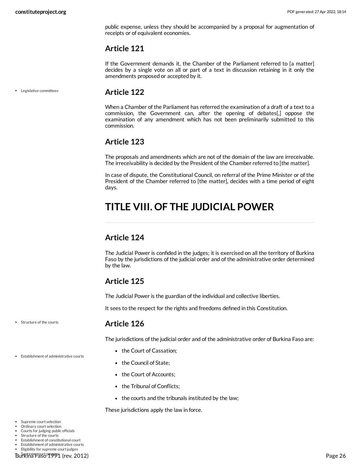public expense, unless they should be accompanied by a proposal for augmentation of receipts or of equivalent economies.

#### <span id="page-25-0"></span>**Article 121**

If the Government demands it, the Chamber of the Parliament referred to [a matter] decides by a single vote on all or part of a text in discussion retaining in it only the amendments proposed or accepted by it.

Legislative committees

#### <span id="page-25-1"></span>**Article 122**

When a Chamber of the Parliament has referred the examination of a draft of a text to a commission, the Government can, after the opening of debates[,] oppose the examination of any amendment which has not been preliminarily submitted to this commission.

#### <span id="page-25-2"></span>**Article 123**

The proposals and amendments which are not of the domain of the law are irreceivable. The irreceivability is decided by the President of the Chamber referred to [the matter].

In case of dispute, the Constitutional Council, on referral of the Prime Minister or of the President of the Chamber referred to [the matter], decides with a time period of eight days.

# <span id="page-25-3"></span>**TITLE VIII. OF THE JUDICIAL POWER**

### <span id="page-25-4"></span>**Article 124**

The Judicial Power is confided in the judges; it is exercised on all the territory of Burkina Faso by the jurisdictions of the judicial order and of the administrative order determined by the law.

### <span id="page-25-5"></span>**Article 125**

The Judicial Power is the guardian of the individual and collective liberties.

It sees to the respect for the rights and freedoms defined in this Constitution.

Structure of the courts

Establishment of administrative courts

#### <span id="page-25-6"></span>**Article 126**

The jurisdictions of the judicial order and of the administrative order of Burkina Faso are:

- the Court of Cassation;
- <span id="page-25-8"></span>• the Council of State;
- the Court of Accounts;
- the Tribunal of Conflicts;
- the courts and the tribunals instituted by the law;

<span id="page-25-7"></span>These jurisdictions apply the law in force.

- Supreme court selection
- Ordinary court selection
- Courts for judging public officials Structure of the courts
- 
- Establishment of constitutional court Establishment of administrative courts
- Eligibility for supreme court judges

Burkina Faso 1991 (rev. 2012) Page 26 Supreme court powers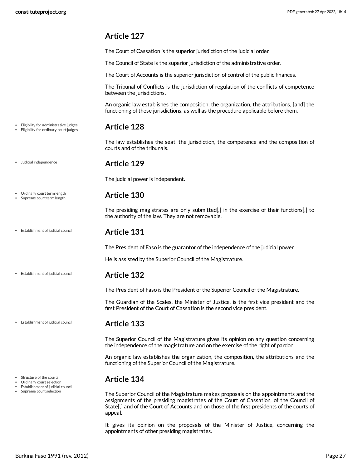<span id="page-26-0"></span>The Court of Cassation is the superior jurisdiction of the judicial order.

The Council of State is the superior jurisdiction of the administrative order.

The Court of Accounts is the superior jurisdiction of control of the public finances.

The Tribunal of Conflicts is the jurisdiction of regulation of the conflicts of competence between the jurisdictions.

An organic law establishes the composition, the organization, the attributions, [and] the functioning of these jurisdictions, as well as the procedure applicable before them.

#### <span id="page-26-1"></span>**Article 128**

The law establishes the seat, the jurisdiction, the competence and the composition of courts and of the tribunals.

#### <span id="page-26-2"></span>**Article 129**

The judicial power is independent.

#### <span id="page-26-3"></span>**Article 130**

The presiding magistrates are only submitted[,] in the exercise of their functions[,] to the authority of the law. They are not removable.

#### **Article 131**

<span id="page-26-4"></span>The President of Faso is the guarantor of the independence of the judicial power.

<span id="page-26-5"></span>He is assisted by the Superior Council of the Magistrature.

#### **Article 132**

The President of Faso is the President of the Superior Council of the Magistrature.

The Guardian of the Scales, the Minister of Justice, is the first vice president and the first President of the Court of Cassation is the second vice president.

#### <span id="page-26-6"></span>**Article 133**

The Superior Council of the Magistrature gives its opinion on any question concerning the independence of the magistrature and on the exercise of the right of pardon.

An organic law establishes the organization, the composition, the attributions and the functioning of the Superior Council of the Magistrature.

#### <span id="page-26-7"></span>**Article 134**

The Superior Council of the Magistrature makes proposals on the appointments and the assignments of the presiding magistrates of the Court of Cassation, of the Council of State[,] and of the Court of Accounts and on those of the first presidents of the courts of appeal.

It gives its opinion on the proposals of the Minister of Justice, concerning the appointments of other presiding magistrates.

Eligibility for administrative judges • Eligibility for ordinary court judges

Judicial independence

Ordinary court term length Supreme court term length

Establishment of judicial council

Establishment of judicial council

Establishment of judicial council

• Structure of the courts

- Ordinary court selection
- Establishment of judicial council Supreme court selection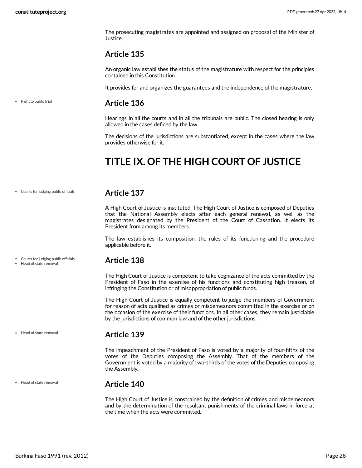• Right to public trial

The prosecuting magistrates are appointed and assigned on proposal of the Minister of Justice.

#### <span id="page-27-0"></span>**Article 135**

An organic law establishes the status of the magistrature with respect for the principles contained in this Constitution.

<span id="page-27-1"></span>It provides for and organizes the guarantees and the independence of the magistrature.

#### **Article 136**

Hearings in all the courts and in all the tribunals are public. The closed hearing is only allowed in the cases defined by the law.

The decisions of the jurisdictions are substantiated, except in the cases where the law provides otherwise for it.

# <span id="page-27-2"></span>**TITLE IX. OF THE HIGH COURT OF JUSTICE**

Courts for judging public officials

Courts for judging public officials • Head of state removal

#### <span id="page-27-3"></span>**Article 137**

A High Court of Justice is instituted. The High Court of Justice is composed of Deputies that the National Assembly elects after each general renewal, as well as the magistrates designated by the President of the Court of Cassation. It elects its President from among its members.

The law establishes its composition, the rules of its functioning and the procedure applicable before it.

#### <span id="page-27-4"></span>**Article 138**

The High Court of Justice is competent to take cognizance of the acts committed by the President of Faso in the exercise of his functions and constituting high treason, of infringing the Constitution or of misappropriation of public funds.

The High Court of Justice is equally competent to judge the members of Government for reason of acts qualified as crimes or misdemeanors committed in the exercise or on the occasion of the exercise of their functions. In all other cases, they remain justiciable by the jurisdictions of common law and of the other jurisdictions.

• Head of state removal

• Head of state removal

#### <span id="page-27-5"></span>**Article 139**

The impeachment of the President of Faso is voted by a majority of four-fifths of the votes of the Deputies composing the Assembly. That of the members of the Government is voted by a majority of two-thirds of the votes of the Deputies composing the Assembly.

#### **Article 140**

<span id="page-27-6"></span>The High Court of Justice is constrained by the definition of crimes and misdemeanors and by the determination of the resultant punishments of the criminal laws in force at the time when the acts were committed.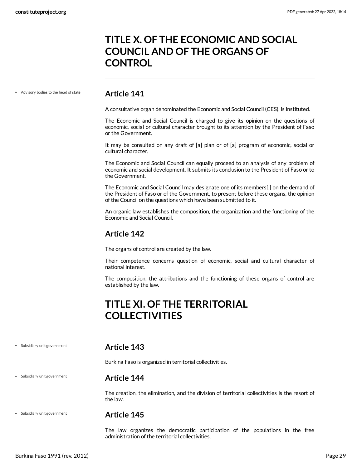# <span id="page-28-0"></span>**TITLE X. OF THE ECONOMIC AND SOCIAL COUNCIL AND OF THE ORGANS OF CONTROL**

Advisory bodies to the head of state

#### <span id="page-28-1"></span>**Article 141**

A consultative organ denominated the Economic and Social Council (CES), is instituted.

The Economic and Social Council is charged to give its opinion on the questions of economic, social or cultural character brought to its attention by the President of Faso or the Government.

It may be consulted on any draft of [a] plan or of [a] program of economic, social or cultural character.

The Economic and Social Council can equally proceed to an analysis of any problem of economic and social development. It submits its conclusion to the President of Faso or to the Government.

The Economic and Social Council may designate one of its members[,] on the demand of the President of Faso or of the Government, to present before these organs, the opinion of the Council on the questions which have been submitted to it.

An organic law establishes the composition, the organization and the functioning of the Economic and Social Council.

#### <span id="page-28-2"></span>**Article 142**

The organs of control are created by the law.

Their competence concerns question of economic, social and cultural character of national interest.

The composition, the attributions and the functioning of these organs of control are established by the law.

# <span id="page-28-3"></span>**TITLE XI. OF THE TERRITORIAL COLLECTIVITIES**

Subsidiary unit government

Subsidiary unit government

#### <span id="page-28-4"></span>**Article 143**

Burkina Faso is organized in territorial collectivities.

#### <span id="page-28-5"></span>**Article 144**

The creation, the elimination, and the division of territorial collectivities is the resort of the law.

Subsidiary unit government

#### <span id="page-28-6"></span>**Article 145**

The law organizes the democratic participation of the populations in the free administration of the territorial collectivities.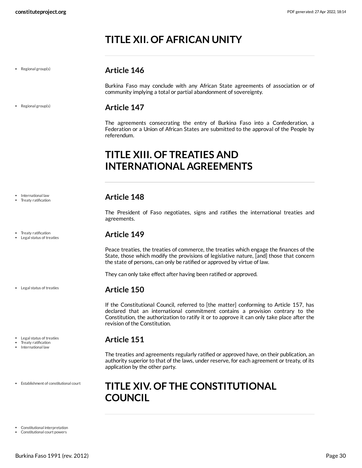# <span id="page-29-0"></span>**TITLE XII. OF AFRICAN UNITY**

• Regional group(s)

• Regional group(s)

### <span id="page-29-1"></span>**Article 146**

Burkina Faso may conclude with any African State agreements of association or of community implying a total or partial abandonment of sovereignty.

#### <span id="page-29-2"></span>**Article 147**

The agreements consecrating the entry of Burkina Faso into a Confederation, a Federation or a Union of African States are submitted to the approval of the People by referendum.

# <span id="page-29-3"></span>**TITLE XIII. OF TREATIES AND INTERNATIONAL AGREEMENTS**

#### <span id="page-29-4"></span>**Article 148**

The President of Faso negotiates, signs and ratifies the international treaties and agreements.

#### <span id="page-29-5"></span>**Article 149**

Peace treaties, the treaties of commerce, the treaties which engage the finances of the State, those which modify the provisions of legislative nature, [and] those that concern the state of persons, can only be ratified or approved by virtue of law.

They can only take effect after having been ratified or approved.

#### <span id="page-29-6"></span>**Article 150**

If the Constitutional Council, referred to [the matter] conforming to Article 157, has declared that an international commitment contains a provision contrary to the Constitution, the authorization to ratify it or to approve it can only take place after the revision of the Constitution.

#### <span id="page-29-7"></span>**Article 151**

The treaties and agreements regularly ratified or approved have, on their publication, an authority superior to that of the laws, under reserve, for each agreement or treaty, of its application by the other party.

# <span id="page-29-9"></span><span id="page-29-8"></span>**TITLE XIV. OF THE CONSTITUTIONAL COUNCIL**

International law Treaty ratification

• Treaty ratification Legal status of treaties

Legal status of treaties

Legal status of treaties

- Treaty ratification
- International law
- Establishment of constitutional court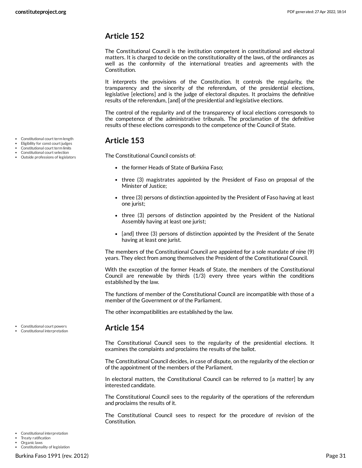<span id="page-30-0"></span>The Constitutional Council is the institution competent in constitutional and electoral matters. It is charged to decide on the constitutionality of the laws, of the ordinances as well as the conformity of the international treaties and agreements with the Constitution.

It interprets the provisions of the Constitution. It controls the regularity, the transparency and the sincerity of the referendum, of the presidential elections, legislative [elections] and is the judge of electoral disputes. It proclaims the definitive results of the referendum, [and] of the presidential and legislative elections.

The control of the regularity and of the transparency of local elections corresponds to the competence of the administrative tribunals. The proclamation of the definitive results of these elections corresponds to the competence of the Council of State.

### <span id="page-30-1"></span>**Article 153**

The Constitutional Council consists of:

- the former Heads of State of Burkina Faso;
- three (3) magistrates appointed by the President of Faso on proposal of the Minister of Justice;
- three (3) persons of distinction appointed by the President of Faso having at least one jurist;
- three (3) persons of distinction appointed by the President of the National Assembly having at least one jurist;
- [and] three (3) persons of distinction appointed by the President of the Senate having at least one jurist.

The members of the Constitutional Council are appointed for a sole mandate of nine (9) years. They elect from among themselves the President of the Constitutional Council.

With the exception of the former Heads of State, the members of the Constitutional Council are renewable by thirds (1/3) every three years within the conditions established by the law.

The functions of member of the Constitutional Council are incompatible with those of a member of the Government or of the Parliament.

The other incompatibilities are established by the law.

#### <span id="page-30-2"></span>**Article 154**

The Constitutional Council sees to the regularity of the presidential elections. It examines the complaints and proclaims the results of the ballot.

The Constitutional Council decides, in case of dispute, on the regularity of the election or of the appointment of the members of the Parliament.

In electoral matters, the Constitutional Council can be referred to [a matter] by any interested candidate.

The Constitutional Council sees to the regularity of the operations of the referendum and proclaims the results of it.

<span id="page-30-3"></span>The Constitutional Council sees to respect for the procedure of revision of the Constitution.

Constitutional court term length

- Eligibility for const court judges
- Constitutional court term limits Constitutional court selection
- Outside professions of legislators

Constitutional court powers

Organic laws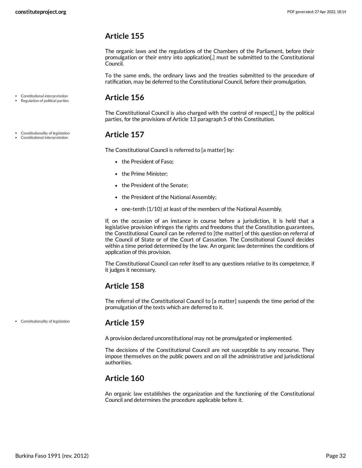<span id="page-31-0"></span>The organic laws and the regulations of the Chambers of the Parliament, before their promulgation or their entry into application[,] must be submitted to the Constitutional Council.

To the same ends, the ordinary laws and the treaties submitted to the procedure of ratification, may be deferred to the Constitutional Council, before their promulgation.

Constitutional interpretation Regulation of political parties

Constitutionality of legislation Constitutional interpretation

#### <span id="page-31-1"></span>**Article 156**

The Constitutional Council is also charged with the control of respect[,] by the political parties, for the provisions of Article 13 paragraph 5 of this Constitution.

#### <span id="page-31-2"></span>**Article 157**

The Constitutional Council is referred to [a matter] by:

- the President of Faso;
- the Prime Minister;
- the President of the Senate;
- the President of the National Assembly;
- one-tenth (1/10) at least of the members of the National Assembly.

If, on the occasion of an instance in course before a jurisdiction, it is held that a legislative provision infringes the rights and freedoms that the Constitution guarantees, the Constitutional Council can be referred to [the matter] of this question on referral of the Council of State or of the Court of Cassation. The Constitutional Council decides within a time period determined by the law. An organic law determines the conditions of application of this provision.

The Constitutional Council can refer itself to any questions relative to its competence, if it judges it necessary.

### <span id="page-31-3"></span>**Article 158**

The referral of the Constitutional Council to [a matter] suspends the time period of the promulgation of the texts which are deferred to it.

Constitutionality of legislation

#### <span id="page-31-4"></span>**Article 159**

A provision declared unconstitutional may not be promulgated or implemented.

The decisions of the Constitutional Council are not susceptible to any recourse. They impose themselves on the public powers and on all the administrative and jurisdictional authorities.

#### <span id="page-31-5"></span>**Article 160**

An organic law establishes the organization and the functioning of the Constitutional Council and determines the procedure applicable before it.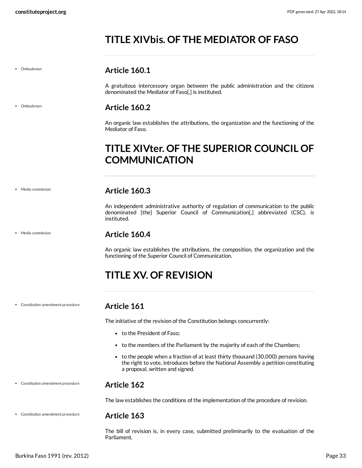# <span id="page-32-0"></span>**TITLE XIVbis. OF THE MEDIATOR OF FASO**

Ombudsman

• Ombudsman

#### <span id="page-32-1"></span>**Article 160.1**

A gratuitous intercessory organ between the public administration and the citizens denominated the Mediator of Faso[,] is instituted.

#### <span id="page-32-2"></span>**Article 160.2**

An organic law establishes the attributions, the organization and the functioning of the Mediator of Faso.

# <span id="page-32-3"></span>**TITLE XIVter. OF THE SUPERIOR COUNCIL OF COMMUNICATION**

Media commission

Media commission

#### <span id="page-32-5"></span>**Article 160.4**

instituted.

<span id="page-32-4"></span>**Article 160.3**

An organic law establishes the attributions, the composition, the organization and the functioning of the Superior Council of Communication.

An independent administrative authority of regulation of communication to the public denominated [the] Superior Council of Communication[,] abbreviated (CSC), is

# <span id="page-32-6"></span>**TITLE XV. OF REVISION**

#### Constitution amendment procedure

#### <span id="page-32-7"></span>**Article 161**

The initiative of the revision of the Constitution belongs concurrently:

- to the President of Faso;
- to the members of the Parliament by the majority of each of the Chambers;
- to the people when a fraction of at least thirty thousand (30,000) persons having the right to vote, introduces before the National Assembly a petition constituting a proposal, written and signed.

#### Constitution amendment procedure

#### <span id="page-32-8"></span>**Article 162**

The law establishes the conditions of the implementation of the procedure of revision.

Constitution amendment procedure

#### <span id="page-32-9"></span>**Article 163**

The bill of revision is, in every case, submitted preliminarily to the evaluation of the Parliament.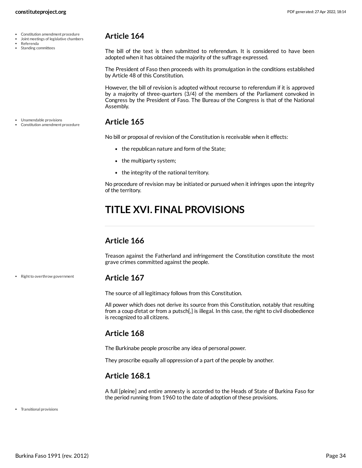- Constitution amendment procedure
- Joint meetings of legislative chambers
- Referenda Standing committees

<span id="page-33-0"></span>The bill of the text is then submitted to referendum. It is considered to have been adopted when it has obtained the majority of the suffrage expressed.

The President of Faso then proceeds with its promulgation in the conditions established by Article 48 of this Constitution.

However, the bill of revision is adopted without recourse to referendum if it is approved by a majority of three-quarters (3/4) of the members of the Parliament convoked in Congress by the President of Faso. The Bureau of the Congress is that of the National Assembly.

#### <span id="page-33-1"></span>**Article 165**

No bill or proposal of revision of the Constitution is receivable when it effects:

- the republican nature and form of the State;
- the multiparty system;
- the integrity of the national territory.

No procedure of revision may be initiated or pursued when it infringes upon the integrity of the territory.

# <span id="page-33-2"></span>**TITLE XVI. FINAL PROVISIONS**

#### <span id="page-33-3"></span>**Article 166**

Treason against the Fatherland and infringement the Constitution constitute the most grave crimes committed against the people.

**Article 167**

<span id="page-33-4"></span>The source of all legitimacy follows from this Constitution.

All power which does not derive its source from this Constitution, notably that resulting from a coup d'etat or from a putsch[,] is illegal. In this case, the right to civil disobedience is recognized to all citizens.

#### <span id="page-33-5"></span>**Article 168**

The Burkinabe people proscribe any idea of personal power.

They proscribe equally all oppression of a part of the people by another.

#### <span id="page-33-6"></span>**Article 168.1**

<span id="page-33-7"></span>A full [pleine] and entire amnesty is accorded to the Heads of State of Burkina Faso for the period running from 1960 to the date of adoption of these provisions.

Transitional provisions

• Right to overthrow government

Unamendable provisions Constitution amendment procedure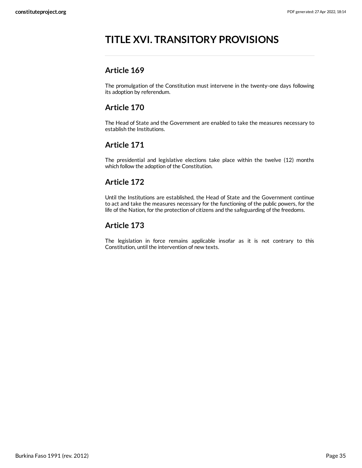# <span id="page-34-0"></span>**TITLE XVI. TRANSITORY PROVISIONS**

### <span id="page-34-1"></span>**Article 169**

The promulgation of the Constitution must intervene in the twenty-one days following its adoption by referendum.

### <span id="page-34-2"></span>**Article 170**

The Head of State and the Government are enabled to take the measures necessary to establish the Institutions.

### <span id="page-34-3"></span>**Article 171**

The presidential and legislative elections take place within the twelve (12) months which follow the adoption of the Constitution.

### <span id="page-34-4"></span>**Article 172**

Until the Institutions are established, the Head of State and the Government continue to act and take the measures necessary for the functioning of the public powers, for the life of the Nation, for the protection of citizens and the safeguarding of the freedoms.

### <span id="page-34-5"></span>**Article 173**

The legislation in force remains applicable insofar as it is not contrary to this Constitution, until the intervention of new texts.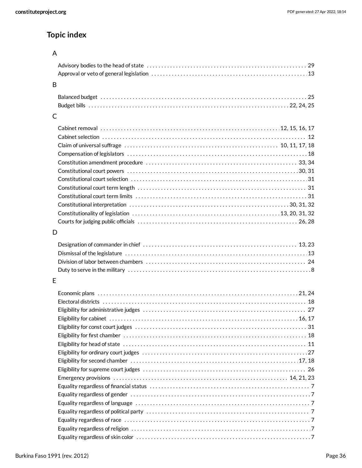# **Topic index**

### A

| B |  |
|---|--|

#### C

### D

### E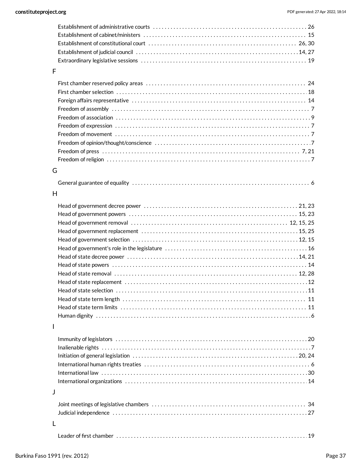#### F

### G

|--|--|

#### H

#### I

### J

|--|--|--|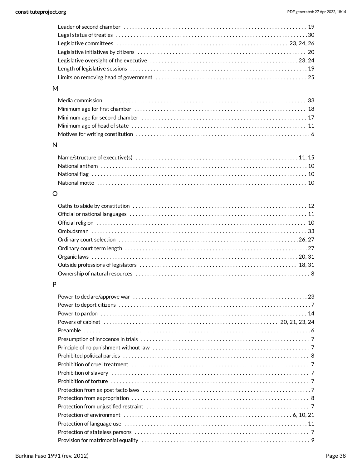#### M

### N

### O

#### P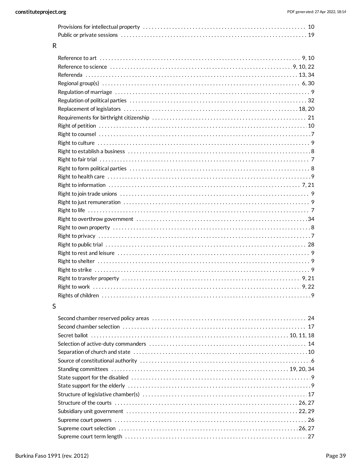| $\mathsf{R}$ |                                                                                                                |
|--------------|----------------------------------------------------------------------------------------------------------------|
|              |                                                                                                                |
|              |                                                                                                                |
|              |                                                                                                                |
|              | Regional group(s) $\dots\dots\dots\dots\dots\dots\dots\dots\dots\dots\dots\dots\dots\dots\dots\dots\dots\dots$ |
|              |                                                                                                                |
|              |                                                                                                                |
|              |                                                                                                                |
|              |                                                                                                                |
|              |                                                                                                                |
|              |                                                                                                                |
|              |                                                                                                                |
|              |                                                                                                                |
|              |                                                                                                                |
|              |                                                                                                                |
|              |                                                                                                                |
|              |                                                                                                                |
|              |                                                                                                                |
|              |                                                                                                                |
|              |                                                                                                                |
|              |                                                                                                                |
|              |                                                                                                                |
|              |                                                                                                                |
|              |                                                                                                                |
|              |                                                                                                                |
|              |                                                                                                                |
|              |                                                                                                                |
|              |                                                                                                                |
|              |                                                                                                                |
|              |                                                                                                                |

#### $\mathsf{S}$